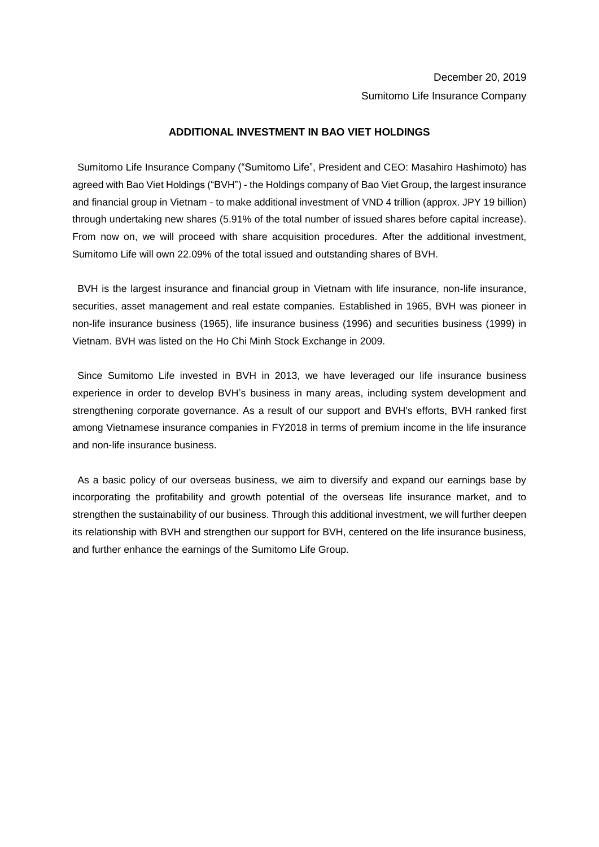## **ADDITIONAL INVESTMENT IN BAO VIET HOLDINGS**

Sumitomo Life Insurance Company ("Sumitomo Life", President and CEO: Masahiro Hashimoto) has agreed with Bao Viet Holdings ("BVH") - the Holdings company of Bao Viet Group, the largest insurance and financial group in Vietnam - to make additional investment of VND 4 trillion (approx. JPY 19 billion) through undertaking new shares (5.91% of the total number of issued shares before capital increase). From now on, we will proceed with share acquisition procedures. After the additional investment, Sumitomo Life will own 22.09% of the total issued and outstanding shares of BVH.

BVH is the largest insurance and financial group in Vietnam with life insurance, non-life insurance, securities, asset management and real estate companies. Established in 1965, BVH was pioneer in non-life insurance business (1965), life insurance business (1996) and securities business (1999) in Vietnam. BVH was listed on the Ho Chi Minh Stock Exchange in 2009.

Since Sumitomo Life invested in BVH in 2013, we have leveraged our life insurance business experience in order to develop BVH's business in many areas, including system development and strengthening corporate governance. As a result of our support and BVH's efforts, BVH ranked first among Vietnamese insurance companies in FY2018 in terms of premium income in the life insurance and non-life insurance business.

As a basic policy of our overseas business, we aim to diversify and expand our earnings base by incorporating the profitability and growth potential of the overseas life insurance market, and to strengthen the sustainability of our business. Through this additional investment, we will further deepen its relationship with BVH and strengthen our support for BVH, centered on the life insurance business, and further enhance the earnings of the Sumitomo Life Group.